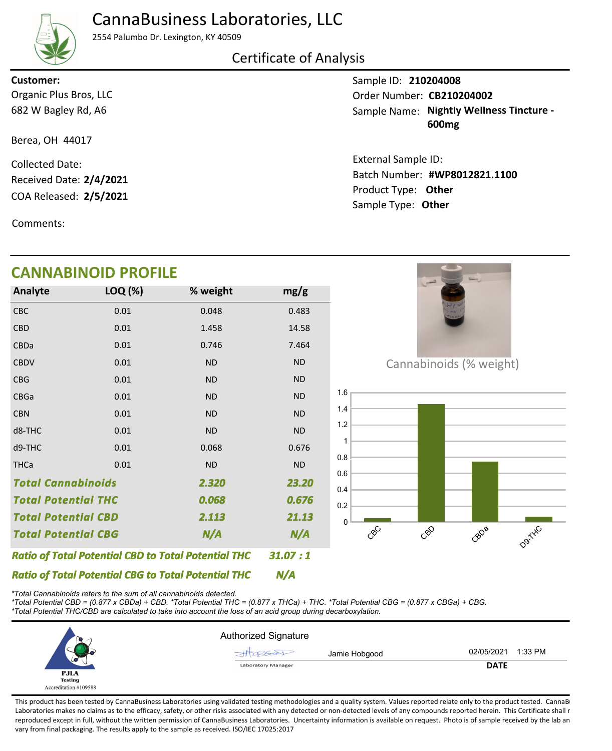## CannaBusiness Laboratories, LLC



2554 Palumbo Dr. Lexington, KY 40509

## Certificate of Analysis

682 W Bagley Rd, A6 Organic Plus Bros, LLC **Customer:**

Berea, OH 44017

COA Released: 2/5/2021 Collected Date: Received Date: **2/4/2021**

Comments:

## **CANNABINOID PROFILE**

| <b>Analyte</b>                                             | LOQ (%) | % weight  | mg/g      |
|------------------------------------------------------------|---------|-----------|-----------|
| <b>CBC</b>                                                 | 0.01    | 0.048     | 0.483     |
| <b>CBD</b>                                                 | 0.01    | 1.458     | 14.58     |
| CBDa                                                       | 0.01    | 0.746     | 7.464     |
| <b>CBDV</b>                                                | 0.01    | <b>ND</b> | <b>ND</b> |
| <b>CBG</b>                                                 | 0.01    | <b>ND</b> | <b>ND</b> |
| CBGa                                                       | 0.01    | <b>ND</b> | <b>ND</b> |
| <b>CBN</b>                                                 | 0.01    | <b>ND</b> | <b>ND</b> |
| d8-THC                                                     | 0.01    | <b>ND</b> | <b>ND</b> |
| d9-THC                                                     | 0.01    | 0.068     | 0.676     |
| <b>THCa</b>                                                | 0.01    | <b>ND</b> | <b>ND</b> |
| <b>Total Cannabinoids</b>                                  |         | 2.320     | 23.20     |
| <b>Total Potential THC</b>                                 |         | 0.068     | 0.676     |
| <b>Total Potential CBD</b>                                 |         | 2.113     | 21.13     |
| N/A<br><b>Total Potential CBG</b>                          |         |           | N/A       |
| <b>Ratio of Total Potential CBD to Total Potential THC</b> | 31.07:1 |           |           |

Sample ID: **210204008** Sample Name: Nightly Wellness Tincture -**600mg** Order Number: CB210204002 External Sample ID:

Product Type: **Other 2/5/2021 #WP8012821.1100** Batch Number: Sample Type: **Other**



CBD<sub>a</sub>

D9TXC

*\*Total Cannabinoids refers to the sum of all cannabinoids detected.*

*Ratio of Total Potential CBG to Total Potential THC*

*\*Total Potential CBD = (0.877 x CBDa) + CBD. \*Total Potential THC = (0.877 x THCa) + THC. \*Total Potential CBG = (0.877 x CBGa) + CBG. \*Total Potential THC/CBD are calculated to take into account the loss of an acid group during decarboxylation.*



*N/A*

CBC

 $\Omega$ 0.2 0.4 0.6 0.8 1 1.2 1.4 1.6

CBD

This product has been tested by CannaBusiness Laboratories using validated testing methodologies and a quality system. Values reported relate only to the product tested. CannaB Laboratories makes no claims as to the efficacy, safety, or other risks associated with any detected or non-detected levels of any compounds reported herein. This Certificate shall r reproduced except in full, without the written permission of CannaBusiness Laboratories. Uncertainty information is available on request. Photo is of sample received by the lab an vary from final packaging. The results apply to the sample as received. ISO/IEC 17025:2017